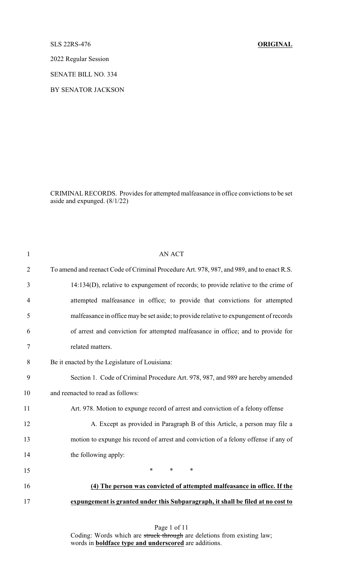SLS 22RS-476 **ORIGINAL**

2022 Regular Session

SENATE BILL NO. 334

BY SENATOR JACKSON

CRIMINALRECORDS. Provides for attempted malfeasance in office convictions to be set aside and expunged. (8/1/22)

| $\mathbf{1}$   | <b>AN ACT</b>                                                                             |
|----------------|-------------------------------------------------------------------------------------------|
| $\overline{2}$ | To amend and reenact Code of Criminal Procedure Art. 978, 987, and 989, and to enact R.S. |
| 3              | 14:134(D), relative to expungement of records; to provide relative to the crime of        |
| 4              | attempted malfeasance in office; to provide that convictions for attempted                |
| 5              | malfeasance in office may be set aside; to provide relative to expungement of records     |
| 6              | of arrest and conviction for attempted malfeasance in office; and to provide for          |
| 7              | related matters.                                                                          |
| 8              | Be it enacted by the Legislature of Louisiana:                                            |
| 9              | Section 1. Code of Criminal Procedure Art. 978, 987, and 989 are hereby amended           |
| 10             | and reenacted to read as follows:                                                         |
| 11             | Art. 978. Motion to expunge record of arrest and conviction of a felony offense           |
| 12             | A. Except as provided in Paragraph B of this Article, a person may file a                 |
| 13             | motion to expunge his record of arrest and conviction of a felony offense if any of       |
| 14             | the following apply:                                                                      |
| 15             | $\ast$<br>$\ast$<br>$\ast$                                                                |
| 16             | (4) The person was convicted of attempted malfeasance in office. If the                   |
| 17             | expungement is granted under this Subparagraph, it shall be filed at no cost to           |
|                |                                                                                           |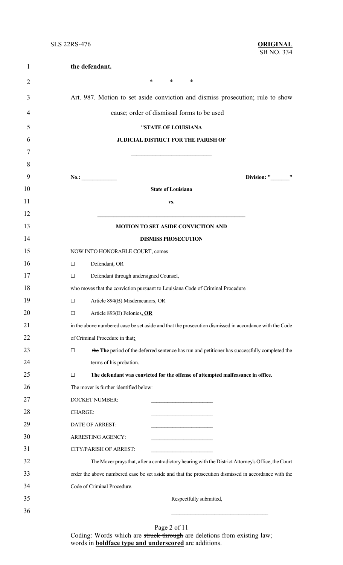| $\mathbf{1}$   | the defendant.                                                                                         |  |  |  |  |
|----------------|--------------------------------------------------------------------------------------------------------|--|--|--|--|
| $\overline{2}$ | $\ast$<br>∗<br>∗                                                                                       |  |  |  |  |
| 3              | Art. 987. Motion to set aside conviction and dismiss prosecution; rule to show                         |  |  |  |  |
| 4              | cause; order of dismissal forms to be used                                                             |  |  |  |  |
| 5              | "STATE OF LOUISIANA                                                                                    |  |  |  |  |
| 6              | JUDICIAL DISTRICT FOR THE PARISH OF                                                                    |  |  |  |  |
| 7              |                                                                                                        |  |  |  |  |
| 8              |                                                                                                        |  |  |  |  |
| 9              | Division: " "<br>No.:                                                                                  |  |  |  |  |
| 10             | <b>State of Louisiana</b>                                                                              |  |  |  |  |
| 11             | VS.                                                                                                    |  |  |  |  |
| 12             |                                                                                                        |  |  |  |  |
| 13             | MOTION TO SET ASIDE CONVICTION AND                                                                     |  |  |  |  |
| 14             | <b>DISMISS PROSECUTION</b>                                                                             |  |  |  |  |
| 15             | NOW INTO HONORABLE COURT, comes                                                                        |  |  |  |  |
| 16             | Defendant, OR<br>$\Box$                                                                                |  |  |  |  |
| 17             | Defendant through undersigned Counsel,<br>□                                                            |  |  |  |  |
| 18             | who moves that the conviction pursuant to Louisiana Code of Criminal Procedure                         |  |  |  |  |
| 19             | Article 894(B) Misdemeanors, OR<br>□                                                                   |  |  |  |  |
| 20             | Article 893(E) Felonies, OR<br>$\Box$                                                                  |  |  |  |  |
| 21             | in the above numbered case be set aside and that the prosecution dismissed in accordance with the Code |  |  |  |  |
| 22             | of Criminal Procedure in that:                                                                         |  |  |  |  |
| 23             | the The period of the deferred sentence has run and petitioner has successfully completed the<br>□     |  |  |  |  |
| 24             | terms of his probation.                                                                                |  |  |  |  |
| 25             | The defendant was convicted for the offense of attempted malfeasance in office.<br>$\Box$              |  |  |  |  |
| 26             | The mover is further identified below:                                                                 |  |  |  |  |
| 27             | <b>DOCKET NUMBER:</b>                                                                                  |  |  |  |  |
| 28             | <b>CHARGE:</b>                                                                                         |  |  |  |  |
| 29             | DATE OF ARREST:                                                                                        |  |  |  |  |
| 30             | ARRESTING AGENCY:<br>the control of the control of the control of                                      |  |  |  |  |
| 31             | CITY/PARISH OF ARREST:                                                                                 |  |  |  |  |
| 32             | The Mover prays that, after a contradictory hearing with the District Attorney's Office, the Court     |  |  |  |  |
| 33             | order the above numbered case be set aside and that the prosecution dismissed in accordance with the   |  |  |  |  |
| 34             | Code of Criminal Procedure.                                                                            |  |  |  |  |
| 35             | Respectfully submitted,                                                                                |  |  |  |  |
| 36             |                                                                                                        |  |  |  |  |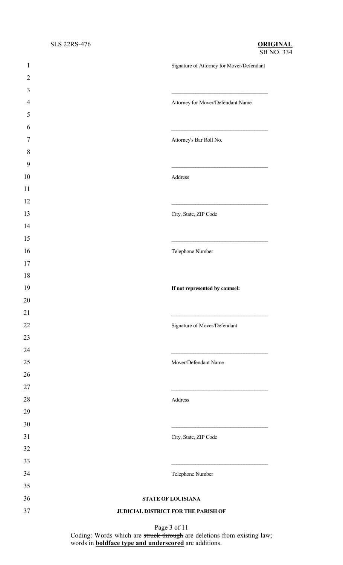| $\mathbf{1}$     | Signature of Attorney for Mover/Defendant |
|------------------|-------------------------------------------|
| $\overline{2}$   |                                           |
| 3                |                                           |
| $\overline{4}$   | Attorney for Mover/Defendant Name         |
| 5                |                                           |
| 6                |                                           |
| 7                | Attorney's Bar Roll No.                   |
| $\,8\,$          |                                           |
| $\boldsymbol{9}$ |                                           |
| 10               | Address                                   |
| 11               |                                           |
| 12               |                                           |
| 13               | City, State, ZIP Code                     |
| 14               |                                           |
| 15               |                                           |
| 16               | Telephone Number                          |
| 17               |                                           |
| 18               |                                           |
| 19               | If not represented by counsel:            |
| 20               |                                           |
| 21               |                                           |
| 22               | Signature of Mover/Defendant              |
| 23               |                                           |
| 24               |                                           |
| 25               | Mover/Defendant Name                      |
| 26               |                                           |
| $27\,$           |                                           |
| 28               | Address                                   |
| 29               |                                           |
| 30               |                                           |
| 31               | City, State, ZIP Code                     |
| 32               |                                           |
| 33               |                                           |
| 34               | Telephone Number                          |
| 35               |                                           |
| 36               | STATE OF LOUISIANA                        |
| 37               | JUDICIAL DISTRICT FOR THE PARISH OF       |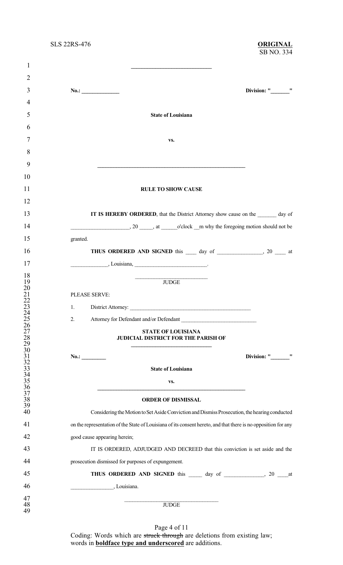**\_\_\_\_\_\_\_\_\_\_\_\_\_\_\_\_\_\_\_\_\_\_\_\_\_\_\_\_\_\_**

#### SB NO. 334 SLS 22RS-476 **ORIGINAL**

| $\overline{2}$                                                 |                                                                                                                |
|----------------------------------------------------------------|----------------------------------------------------------------------------------------------------------------|
| 3                                                              | Division: "_________"<br>No.:                                                                                  |
| 4                                                              |                                                                                                                |
| 5                                                              | <b>State of Louisiana</b>                                                                                      |
| 6                                                              |                                                                                                                |
| 7                                                              | VS.                                                                                                            |
| 8                                                              |                                                                                                                |
| 9                                                              |                                                                                                                |
| 10                                                             |                                                                                                                |
|                                                                |                                                                                                                |
| 11                                                             | <b>RULE TO SHOW CAUSE</b>                                                                                      |
| 12                                                             |                                                                                                                |
| 13                                                             | IT IS HEREBY ORDERED, that the District Attorney show cause on the day of                                      |
| 14                                                             |                                                                                                                |
| 15                                                             | granted.                                                                                                       |
| 16                                                             | THUS ORDERED AND SIGNED this 100 day of 20 to 20 at                                                            |
| 17                                                             | $\frac{1}{1}$ , Louisiana, $\frac{1}{1}$                                                                       |
| 18                                                             |                                                                                                                |
| 19<br>20                                                       | <b>JUDGE</b>                                                                                                   |
| $\frac{21}{22}$<br>$\frac{22}{23}$                             | PLEASE SERVE:                                                                                                  |
|                                                                | 1.                                                                                                             |
| 24<br>25                                                       | Attorney for Defendant and/or Defendant<br>2.                                                                  |
| 26                                                             |                                                                                                                |
| 27                                                             | <b>STATE OF LOUISIANA</b><br>JUDICIAL DISTRICT FOR THE PARISH OF                                               |
|                                                                |                                                                                                                |
| 28<br>29<br>30<br>32<br>33<br>33<br>35<br>36<br>37<br>38<br>39 | Division: " "<br>No.:                                                                                          |
|                                                                |                                                                                                                |
|                                                                | <b>State of Louisiana</b>                                                                                      |
|                                                                | VS.                                                                                                            |
|                                                                |                                                                                                                |
|                                                                | <b>ORDER OF DISMISSAL</b>                                                                                      |
| 40                                                             | Considering the Motion to Set Aside Conviction and Dismiss Prosecution, the hearing conducted                  |
| 41                                                             | on the representation of the State of Louisiana of its consent hereto, and that there is no opposition for any |
| 42                                                             | good cause appearing herein;                                                                                   |
| 43                                                             | IT IS ORDERED, ADJUDGED AND DECREED that this conviction is set aside and the                                  |
| 44                                                             | prosecution dismissed for purposes of expungement.                                                             |
| 45                                                             |                                                                                                                |
| 46                                                             | $\overline{\phantom{a}}$ Louisiana.                                                                            |
|                                                                |                                                                                                                |
| 47<br>48                                                       | <b>JUDGE</b>                                                                                                   |
| 49                                                             |                                                                                                                |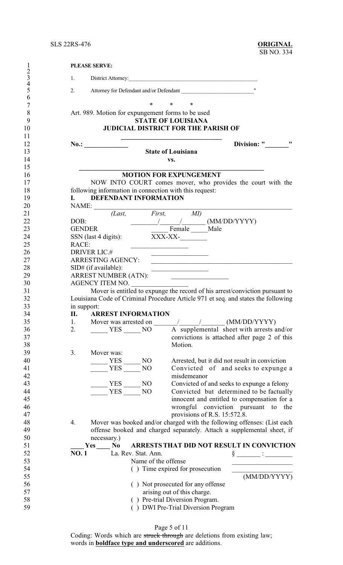| $\mathbf{1}$        | <b>PLEASE SERVE:</b>                                      |                                                                                         |
|---------------------|-----------------------------------------------------------|-----------------------------------------------------------------------------------------|
| $rac{2}{3}$         | 1.                                                        | District Attorney:                                                                      |
| $\overline{4}$<br>5 | 2.                                                        | Attorney for Defendant and/or Defendant                                                 |
| 6                   |                                                           |                                                                                         |
| $\overline{7}$      | $\ast$                                                    | $\ast$<br>$\ast$                                                                        |
| 8                   | Art. 989. Motion for expungement forms to be used         |                                                                                         |
| 9                   |                                                           | <b>STATE OF LOUISIANA</b>                                                               |
| 10<br>11            |                                                           | <b>JUDICIAL DISTRICT FOR THE PARISH OF</b>                                              |
| 12                  |                                                           | 11<br>Division: "                                                                       |
| 13                  |                                                           | <b>State of Louisiana</b>                                                               |
| 14                  |                                                           | VS.                                                                                     |
| 15                  |                                                           |                                                                                         |
| 16                  |                                                           | <b>MOTION FOR EXPUNGEMENT</b>                                                           |
| 17<br>18            | following information in connection with this request:    | NOW INTO COURT comes mover, who provides the court with the                             |
| 19                  | <b>DEFENDANT INFORMATION</b><br>L.                        |                                                                                         |
| 20                  | NAME:                                                     |                                                                                         |
| 21                  | $\ell$ <i>Last</i> , <i>First</i> ,                       | MI)                                                                                     |
| 22                  | DOB:                                                      | $\frac{1}{2}$ (MM/DD/YYYY)                                                              |
| 23                  | <b>GENDER</b>                                             | Female _____ Male                                                                       |
| 24                  | $SSN$ (last 4 digits):                                    | XXX-XX-                                                                                 |
| 25<br>26            | RACE:<br><b>DRIVER LIC.#</b>                              |                                                                                         |
| 27                  | ARRESTING AGENCY:                                         | <u> 1989 - Johann John Stone, mars eta bainar e</u>                                     |
| 28                  | SID# (if available):                                      | <u> 1989 - Johann Barn, margaret eta idazlear (h. 1989).</u>                            |
| 29                  | ARREST NUMBER (ATN):                                      |                                                                                         |
| 30                  | AGENCY ITEM NO.                                           |                                                                                         |
| 31                  |                                                           | Mover is entitled to expunge the record of his arrest/conviction pursuant to            |
| 32                  |                                                           | Louisiana Code of Criminal Procedure Article 971 et seq. and states the following       |
| 33                  | in support:                                               |                                                                                         |
| 34<br>35            | <b>ARREST INFORMATION</b><br>П.<br>1.                     |                                                                                         |
| 36                  | 2.<br>$VES$ NO                                            | A supplemental sheet with arrests and/or                                                |
| 37                  |                                                           | convictions is attached after page 2 of this                                            |
| 38                  |                                                           | Motion.                                                                                 |
| 39                  | 3.<br>Mover was:                                          |                                                                                         |
| 40                  | <b>YES</b><br>N <sub>O</sub>                              | Arrested, but it did not result in conviction                                           |
| 41                  | <b>YES</b><br>N <sub>O</sub>                              | Convicted of and seeks to expunge a                                                     |
| 42                  |                                                           | misdemeanor                                                                             |
| 43<br>44            | $-$ NO<br>YES<br><b>YES</b><br>NO                         | Convicted of and seeks to expunge a felony                                              |
| 45                  |                                                           | Convicted but determined to be factually<br>innocent and entitled to compensation for a |
| 46                  |                                                           | wrongful conviction pursuant to the                                                     |
| 47                  |                                                           | provisions of R.S. 15:572.8.                                                            |
| 48                  | 4.                                                        | Mover was booked and/or charged with the following offenses: (List each                 |
| 49                  |                                                           | offense booked and charged separately. Attach a supplemental sheet, if                  |
| 50                  | necessary.)                                               |                                                                                         |
| 51                  | N <sub>0</sub>                                            | ARRESTS THAT DID NOT RESULT IN CONVICTION                                               |
| 52<br>53            | La. Rev. Stat. Ann.<br><b>NO.1</b><br>Name of the offense |                                                                                         |
| 54                  |                                                           | () Time expired for prosecution                                                         |
| 55                  |                                                           | (MM/DD/YYYY)                                                                            |
| 56                  |                                                           | () Not prosecuted for any offense                                                       |
| 57                  |                                                           | arising out of this charge.                                                             |
| 58                  |                                                           | () Pre-trial Diversion Program.                                                         |
| 59                  |                                                           | () DWI Pre-Trial Diversion Program                                                      |

Page 5 of 11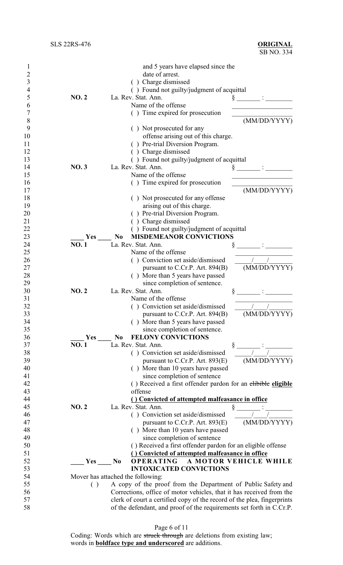| 1  |              | and 5 years have elapsed since the                                      |
|----|--------------|-------------------------------------------------------------------------|
| 2  |              | date of arrest.                                                         |
| 3  |              | () Charge dismissed                                                     |
| 4  |              | () Found not guilty/judgment of acquittal                               |
| 5  | NO.2         | La. Rev. Stat. Ann.                                                     |
| 6  |              | Name of the offense                                                     |
| 7  |              | () Time expired for prosecution                                         |
| 8  |              | (MM/DD/YYYY)                                                            |
| 9  |              | () Not prosecuted for any                                               |
| 10 |              | offense arising out of this charge.                                     |
| 11 |              | () Pre-trial Diversion Program.                                         |
|    |              |                                                                         |
| 12 |              | () Charge dismissed                                                     |
| 13 |              | () Found not guilty/judgment of acquittal                               |
| 14 | <b>NO.3</b>  | La. Rev. Stat. Ann.<br>§                                                |
| 15 |              | Name of the offense                                                     |
| 16 |              | () Time expired for prosecution                                         |
| 17 |              | (MM/DD/YYYY)                                                            |
| 18 |              | () Not prosecuted for any offense                                       |
| 19 |              | arising out of this charge.                                             |
| 20 |              | () Pre-trial Diversion Program.                                         |
| 21 |              | Charge dismissed                                                        |
| 22 |              | () Found not guilty/judgment of acquittal                               |
| 23 | Yes          | <b>MISDEMEANOR CONVICTIONS</b><br>N <sub>0</sub>                        |
| 24 | <b>NO.1</b>  | La. Rev. Stat. Ann.                                                     |
| 25 |              | Name of the offense                                                     |
| 26 |              | () Conviction set aside/dismissed                                       |
| 27 |              | (MM/DD/YYYY)<br>pursuant to C.Cr.P. Art. 894(B)                         |
| 28 |              | () More than 5 years have passed                                        |
| 29 |              | since completion of sentence.                                           |
| 30 | <b>NO. 2</b> | La. Rev. Stat. Ann.                                                     |
| 31 |              | §<br>Name of the offense                                                |
| 32 |              |                                                                         |
|    |              | () Conviction set aside/dismissed                                       |
| 33 |              | (MM/DD/YYYY)<br>pursuant to C.Cr.P. Art. $894(B)$                       |
| 34 |              | More than 5 years have passed                                           |
| 35 |              | since completion of sentence.                                           |
| 36 | Yes          | FELONY CONVICTIONS<br>N <sub>0</sub>                                    |
| 37 | <b>NO.1</b>  | La. Rev. Stat. Ann.<br>§                                                |
| 38 |              | () Conviction set aside/dismissed                                       |
| 39 |              | (MM/DD/YYYY)<br>pursuant to C.Cr.P. Art. 893(E)                         |
| 40 |              | () More than 10 years have passed                                       |
| 41 |              | since completion of sentence                                            |
| 42 |              | () Received a first offender pardon for an elibible eligible            |
| 43 |              | offense                                                                 |
| 44 |              | () Convicted of attempted malfeasance in office                         |
| 45 | <b>NO.2</b>  | La. Rev. Stat. Ann.<br>ş                                                |
| 46 |              | () Conviction set aside/dismissed                                       |
| 47 |              | (MM/DD/YYYY)<br>pursuant to C.Cr.P. Art. $893(E)$                       |
| 48 |              | () More than 10 years have passed                                       |
| 49 |              | since completion of sentence                                            |
| 50 |              | () Received a first offender pardon for an eligible offense             |
| 51 |              | () Convicted of attempted malfeasance in office                         |
| 52 | Yes          | <b>OPERATING</b><br>A MOTOR VEHICLE WHILE<br>N <sub>0</sub>             |
| 53 |              | <b>INTOXICATED CONVICTIONS</b>                                          |
| 54 |              | Mover has attached the following:                                       |
| 55 | ( )          | A copy of the proof from the Department of Public Safety and            |
| 56 |              | Corrections, office of motor vehicles, that it has received from the    |
| 57 |              |                                                                         |
|    |              | clerk of court a certified copy of the record of the plea, fingerprints |
| 58 |              | of the defendant, and proof of the requirements set forth in C.Cr.P.    |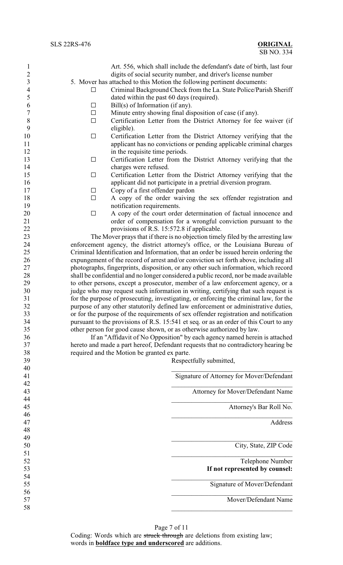Art. 556, which shall include the defendant's date of birth, last four digits of social security number, and driver's license number 5. Mover has attached to this Motion the following pertinent documents:

- 4 Criminal Background Check from the La. State Police/Parish Sheriff dated within the past 60 days (required).
- 6 Bill(s) of Information (if any).
- $7 \Box$  Minute entry showing final disposition of case (if any).
- 8  $\Box$  Certification Letter from the District Attorney for fee waiver (if eligible). eligible).
- 10 Gertification Letter from the District Attorney verifying that the applicant has no convictions or pending applicable criminal charges 12 in the requisite time periods.
- 13 Certification Letter from the District Attorney verifying that the charges were refused.
- 15 G Certification Letter from the District Attorney verifying that the applicant did not participate in a pretrial diversion program.
- 17 Copy of a first offender pardon
- $\Box$  A copy of the order waiving the sex offender registration and 19 notification requirements.
- $\Box$  A copy of the court order determination of factual innocence and order of compensation for a wrongful conviction pursuant to the provisions of R.S. 15:572.8 if applicable.

 The Mover prays that if there is no objection timely filed by the arresting law enforcement agency, the district attorney's office, or the Louisiana Bureau of Criminal Identification and Information, that an order be issued herein ordering the expungement of the record of arrest and/or conviction set forth above, including all photographs, fingerprints, disposition, or any other such information, which record shall be confidential and no longer considered a public record, nor be made available to other persons, except a prosecutor, member of a law enforcement agency, or a judge who may request such information in writing, certifying that such request is for the purpose of prosecuting, investigating, or enforcing the criminal law, for the purpose of any other statutorily defined law enforcement or administrative duties, or for the purpose of the requirements of sex offender registration and notification pursuant to the provisions of R.S. 15:541 et seq. or as an order of this Court to any other person for good cause shown, or as otherwise authorized by law.

 If an "Affidavit of No Opposition" by each agency named herein is attached hereto and made a part hereof, Defendant requests that no contradictory hearing be required and the Motion be granted ex parte.

Respectfully submitted,

|                                           | 40 |
|-------------------------------------------|----|
| Signature of Attorney for Mover/Defendant | 41 |
|                                           | 42 |
| Attorney for Mover/Defendant Name         | 43 |
|                                           | 44 |
| Attorney's Bar Roll No.                   | 45 |
|                                           | 46 |
| Address                                   | 47 |
|                                           | 48 |
|                                           | 49 |
| City, State, ZIP Code                     | 50 |
|                                           | 51 |
| Telephone Number                          | 52 |
| If not represented by counsel:            | 53 |
|                                           | 54 |
| Signature of Mover/Defendant              | 55 |
|                                           | 56 |
| Mover/Defendant Name                      | 57 |
|                                           | 58 |
|                                           |    |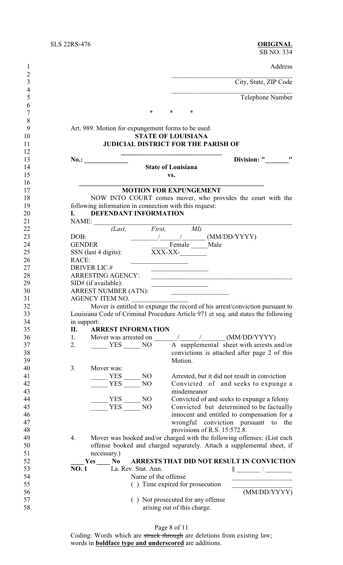$\frac{6}{7}$ 

Address

City, State, ZIP Code

Telephone Number

7 \* \* \* \*

# 9 Art. 989. Motion for expungement forms to be used<br>10 **STATE OF LOUISIANA** 10 **STATE OF LOUISIANA**<br>11 **JUDICIAL DISTRICT FOR THE P JUDICIAL DISTRICT FOR THE PARISH OF**

**\_\_\_\_\_\_\_\_\_\_\_\_\_\_\_\_\_\_\_\_\_\_\_\_\_\_\_\_\_\_\_\_\_\_\_\_\_\_\_\_\_\_\_\_\_\_\_\_\_\_\_\_\_\_\_**

**No.: No.: No.: Division: "** 

# **State of Louisiana**

**vs.**

### **MOTION FOR EXPUNGEMENT**

18 NOW INTO COURT comes mover, who provides the court with the following information in connection with this request: 19 following information in connection with this request:<br>20 **I.** DEFENDANT INFORMATION

| 20 |       | <b>DEFENDANT INFORMATION</b> |  |
|----|-------|------------------------------|--|
| 21 | NAME: |                              |  |

| 21 | NAME:                                                                             |                                   |                                                  |                                                                              |
|----|-----------------------------------------------------------------------------------|-----------------------------------|--------------------------------------------------|------------------------------------------------------------------------------|
| 22 | (Last,                                                                            | First,                            | MI)                                              |                                                                              |
| 23 | DOB:                                                                              |                                   |                                                  | (MM/DD/YYYY)                                                                 |
| 24 | <b>GENDER</b>                                                                     |                                   | Female Male                                      |                                                                              |
| 25 | SSN (last 4 digits):                                                              | XXX-XX-                           |                                                  |                                                                              |
| 26 | RACE:                                                                             |                                   |                                                  |                                                                              |
| 27 | <b>DRIVER LIC.#</b>                                                               |                                   |                                                  |                                                                              |
| 28 | <b>ARRESTING AGENCY:</b>                                                          |                                   |                                                  |                                                                              |
| 29 | SID# (if available):                                                              |                                   |                                                  |                                                                              |
| 30 | <b>ARREST NUMBER (ATN):</b>                                                       |                                   | the control of the control of the control of the |                                                                              |
| 31 | AGENCY ITEM NO.                                                                   |                                   |                                                  |                                                                              |
| 32 |                                                                                   |                                   |                                                  | Mover is entitled to expunge the record of his arrest/conviction pursuant to |
| 33 | Louisiana Code of Criminal Procedure Article 971 et seq. and states the following |                                   |                                                  |                                                                              |
| 34 | in support:                                                                       |                                   |                                                  |                                                                              |
| 35 | <b>ARREST INFORMATION</b><br>П.                                                   |                                   |                                                  |                                                                              |
| 36 | 1.<br>Mover was arrested on                                                       |                                   |                                                  | $\frac{1}{2}$ (MM/DD/YYYY)                                                   |
| 37 | 2.<br>YES NO                                                                      |                                   |                                                  | A supplemental sheet with arrests and/or                                     |
| 38 |                                                                                   |                                   |                                                  | convictions is attached after page 2 of this                                 |
| 39 |                                                                                   |                                   | Motion.                                          |                                                                              |
| 40 | 3.<br>Mover was:                                                                  |                                   |                                                  |                                                                              |
| 41 | <b>YES</b>                                                                        | N <sub>O</sub>                    |                                                  | Arrested, but it did not result in conviction                                |
| 42 | <b>YES</b>                                                                        | N <sub>O</sub>                    |                                                  | Convicted of and seeks to expunge a                                          |
| 43 |                                                                                   |                                   | misdemeanor                                      |                                                                              |
| 44 | <b>YES</b>                                                                        | N <sub>O</sub>                    |                                                  | Convicted of and seeks to expunge a felony                                   |
| 45 | <b>YES</b>                                                                        | NO                                |                                                  | Convicted but determined to be factually                                     |
| 46 |                                                                                   |                                   |                                                  | innocent and entitled to compensation for a                                  |
| 47 |                                                                                   |                                   |                                                  | wrongful conviction pursuant to the                                          |
| 48 |                                                                                   |                                   | provisions of R.S. 15:572.8.                     |                                                                              |
| 49 | 4.                                                                                |                                   |                                                  | Mover was booked and/or charged with the following offenses: (List each      |
| 50 |                                                                                   |                                   |                                                  | offense booked and charged separately. Attach a supplemental sheet, if       |
| 51 | necessary.)                                                                       |                                   |                                                  |                                                                              |
| 52 | Yes<br>No                                                                         |                                   |                                                  | ARRESTS THAT DID NOT RESULT IN CONVICTION                                    |
| 53 | La. Rev. Stat. Ann.<br>NO.1                                                       |                                   |                                                  |                                                                              |
| 54 |                                                                                   | Name of the offense               |                                                  |                                                                              |
| 55 |                                                                                   | () Time expired for prosecution   |                                                  |                                                                              |
| 56 |                                                                                   |                                   |                                                  | (MM/DD/YYYY)                                                                 |
| 57 |                                                                                   | () Not prosecuted for any offense |                                                  |                                                                              |
| 58 |                                                                                   | arising out of this charge.       |                                                  |                                                                              |
|    |                                                                                   |                                   |                                                  |                                                                              |

Page 8 of 11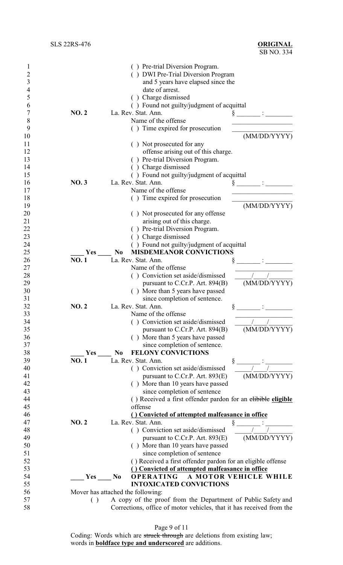| 1              |             | () Pre-trial Diversion Program.                                      |
|----------------|-------------|----------------------------------------------------------------------|
| 2              |             | () DWI Pre-Trial Diversion Program                                   |
| 3              |             | and 5 years have elapsed since the                                   |
| $\overline{4}$ |             | date of arrest.                                                      |
| 5              |             | () Charge dismissed                                                  |
| 6              |             | () Found not guilty/judgment of acquittal                            |
| 7              | <b>NO.2</b> | La. Rev. Stat. Ann.                                                  |
| 8              |             | Name of the offense                                                  |
| 9              |             | () Time expired for prosecution                                      |
| 10             |             | (MM/DD/YYYY)                                                         |
| 11             |             | () Not prosecuted for any                                            |
| 12             |             | offense arising out of this charge.                                  |
| 13             |             | () Pre-trial Diversion Program.                                      |
| 14             |             | Charge dismissed                                                     |
| 15             |             | () Found not guilty/judgment of acquittal                            |
| 16             | <b>NO.3</b> | La. Rev. Stat. Ann.                                                  |
| 17             |             | Name of the offense                                                  |
| 18             |             | () Time expired for prosecution                                      |
| 19             |             | (MM/DD/YYYY)                                                         |
| 20             |             | () Not prosecuted for any offense                                    |
| 21             |             | arising out of this charge.                                          |
| 22             |             | () Pre-trial Diversion Program.                                      |
| 23             |             | () Charge dismissed                                                  |
| 24             |             | () Found not guilty/judgment of acquittal                            |
|                | Yes         | N <sub>0</sub>                                                       |
| 25<br>26       | <b>NO.1</b> | <b>MISDEMEANOR CONVICTIONS</b><br>La. Rev. Stat. Ann.                |
| 27             |             | Name of the offense                                                  |
|                |             |                                                                      |
| 28             |             | () Conviction set aside/dismissed                                    |
| 29             |             | (MM/DD/YYYY)<br>pursuant to C.Cr.P. Art. 894(B)                      |
| 30             |             | () More than 5 years have passed                                     |
| 31             |             | since completion of sentence.                                        |
| 32             | NO.2        | La. Rev. Stat. Ann.<br>§                                             |
| 33             |             | Name of the offense                                                  |
| 34             |             | () Conviction set aside/dismissed                                    |
| 35             |             | (MM/DD/YYYY)<br>pursuant to C.Cr.P. Art. 894(B)                      |
| 36             |             | () More than 5 years have passed                                     |
| 37             |             | since completion of sentence.                                        |
| 38             | Yes         | <b>FELONY CONVICTIONS</b><br>N <sub>0</sub>                          |
| 39             | <b>NO.1</b> | La. Rev. Stat. Ann.                                                  |
| 40             |             | () Conviction set aside/dismissed                                    |
| 41             |             | (MM/DD/YYYY)<br>pursuant to C.Cr.P. Art. $893(E)$                    |
| 42             |             | () More than 10 years have passed                                    |
| 43             |             | since completion of sentence                                         |
| 44             |             | () Received a first offender pardon for an elibible eligible         |
| 45             |             | offense                                                              |
| 46             |             | () Convicted of attempted malfeasance in office                      |
| 47             | <b>NO.2</b> | La. Rev. Stat. Ann.                                                  |
| 48             |             | () Conviction set aside/dismissed                                    |
| 49             |             | (MM/DD/YYYY)<br>pursuant to C.Cr.P. Art. $893(E)$                    |
| 50             |             | () More than 10 years have passed                                    |
| 51             |             | since completion of sentence                                         |
| 52             |             | () Received a first offender pardon for an eligible offense          |
| 53             |             | () Convicted of attempted malfeasance in office                      |
| 54             | <b>Yes</b>  | <b>OPERATING</b><br>A MOTOR VEHICLE WHILE<br>N <sub>0</sub>          |
| 55             |             | <b>INTOXICATED CONVICTIONS</b>                                       |
| 56             |             | Mover has attached the following:                                    |
| 57             | ( )         | A copy of the proof from the Department of Public Safety and         |
| 58             |             | Corrections, office of motor vehicles, that it has received from the |
|                |             |                                                                      |

Page 9 of 11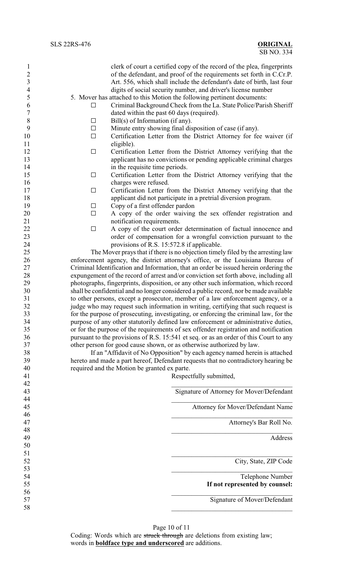| $\mathbf{1}$     |                                              | clerk of court a certified copy of the record of the plea, fingerprints               |
|------------------|----------------------------------------------|---------------------------------------------------------------------------------------|
| $\overline{2}$   |                                              | of the defendant, and proof of the requirements set forth in C.Cr.P.                  |
| $\mathfrak{Z}$   |                                              | Art. 556, which shall include the defendant's date of birth, last four                |
|                  |                                              |                                                                                       |
| $\overline{4}$   |                                              | digits of social security number, and driver's license number                         |
| 5                |                                              | 5. Mover has attached to this Motion the following pertinent documents:               |
| 6                | $\Box$                                       | Criminal Background Check from the La. State Police/Parish Sheriff                    |
| $\boldsymbol{7}$ |                                              | dated within the past 60 days (required).                                             |
| $\,8\,$          | $\Box$                                       | Bill(s) of Information (if any).                                                      |
| 9                | $\Box$                                       | Minute entry showing final disposition of case (if any).                              |
| 10               | $\Box$                                       | Certification Letter from the District Attorney for fee waiver (if                    |
| 11               | eligible).                                   |                                                                                       |
| 12               | $\Box$                                       | Certification Letter from the District Attorney verifying that the                    |
| 13               |                                              | applicant has no convictions or pending applicable criminal charges                   |
| 14               |                                              | in the requisite time periods.                                                        |
| 15               | $\Box$                                       | Certification Letter from the District Attorney verifying that the                    |
| 16               | charges were refused.                        |                                                                                       |
| 17               | $\Box$                                       | Certification Letter from the District Attorney verifying that the                    |
| 18               |                                              | applicant did not participate in a pretrial diversion program.                        |
| 19               | $\Box$                                       | Copy of a first offender pardon                                                       |
| 20               | $\Box$                                       | A copy of the order waiving the sex offender registration and                         |
| 21               | notification requirements.                   |                                                                                       |
| 22               | $\Box$                                       |                                                                                       |
|                  |                                              | A copy of the court order determination of factual innocence and                      |
| 23               |                                              | order of compensation for a wrongful conviction pursuant to the                       |
| 24               |                                              | provisions of R.S. 15:572.8 if applicable.                                            |
| 25               |                                              | The Mover prays that if there is no objection timely filed by the arresting law       |
| 26               |                                              | enforcement agency, the district attorney's office, or the Louisiana Bureau of        |
| 27               |                                              | Criminal Identification and Information, that an order be issued herein ordering the  |
| 28               |                                              | expungement of the record of arrest and/or conviction set forth above, including all  |
| 29               |                                              | photographs, fingerprints, disposition, or any other such information, which record   |
| 30               |                                              | shall be confidential and no longer considered a public record, nor be made available |
| 31               |                                              | to other persons, except a prosecutor, member of a law enforcement agency, or a       |
| 32               |                                              | judge who may request such information in writing, certifying that such request is    |
| 33               |                                              | for the purpose of prosecuting, investigating, or enforcing the criminal law, for the |
| 34               |                                              | purpose of any other statutorily defined law enforcement or administrative duties,    |
| 35               |                                              | or for the purpose of the requirements of sex offender registration and notification  |
| 36               |                                              | pursuant to the provisions of R.S. 15:541 et seq. or as an order of this Court to any |
| 37               |                                              | other person for good cause shown, or as otherwise authorized by law.                 |
| 38               |                                              | If an "Affidavit of No Opposition" by each agency named herein is attached            |
| 39               |                                              | hereto and made a part hereof, Defendant requests that no contradictory hearing be    |
| 40               | required and the Motion be granted ex parte. |                                                                                       |
| 41               |                                              | Respectfully submitted,                                                               |
| 42               |                                              |                                                                                       |
| 43               |                                              | Signature of Attorney for Mover/Defendant                                             |
| 44               |                                              |                                                                                       |
| 45               |                                              | Attorney for Mover/Defendant Name                                                     |
| 46               |                                              |                                                                                       |
| 47               |                                              | Attorney's Bar Roll No.                                                               |
|                  |                                              |                                                                                       |
| 48               |                                              |                                                                                       |
| 49               |                                              | Address                                                                               |
| 50               |                                              |                                                                                       |
| 51               |                                              |                                                                                       |
| 52               |                                              | City, State, ZIP Code                                                                 |
| 53               |                                              |                                                                                       |
| 54               |                                              | Telephone Number                                                                      |
| 55               |                                              | If not represented by counsel:                                                        |
| 56               |                                              |                                                                                       |
|                  |                                              |                                                                                       |
| 57               |                                              | Signature of Mover/Defendant                                                          |